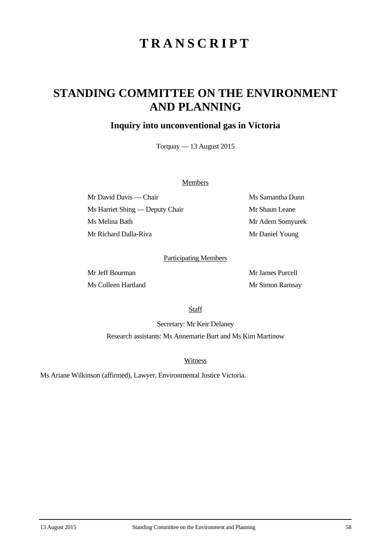# **TRANSCRIPT**

## **STANDING COMMITTEE ON THE ENVIRONMENT AND PLANNING**

### **Inquiry into unconventional gas in Victoria**

Torquay — 13 August 2015

#### **Members**

Mr David Davis — Chair Ms Samantha Dunn Ms Harriet Shing — Deputy Chair Mr Shaun Leane Ms Melina Bath Mr Adem Somyurek Mr Richard Dalla-Riva Mr Daniel Young

#### Participating Members

Mr Jeff Bourman Mr James Purcell Ms Colleen Hartland Mr Simon Ramsay

**Staff** 

Secretary: Mr Keir Delaney Research assistants: Ms Annemarie Burt and Ms Kim Martinow

**Witness** 

Ms Ariane Wilkinson (affirmed), Lawyer, Environmental Justice Victoria.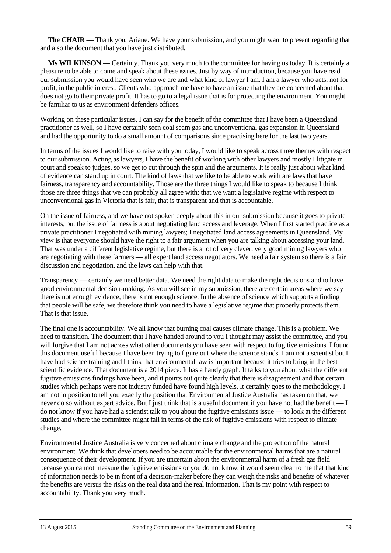**The CHAIR** — Thank you, Ariane. We have your submission, and you might want to present regarding that and also the document that you have just distributed.

**Ms WILKINSON** — Certainly. Thank you very much to the committee for having us today. It is certainly a pleasure to be able to come and speak about these issues. Just by way of introduction, because you have read our submission you would have seen who we are and what kind of lawyer I am. I am a lawyer who acts, not for profit, in the public interest. Clients who approach me have to have an issue that they are concerned about that does not go to their private profit. It has to go to a legal issue that is for protecting the environment. You might be familiar to us as environment defenders offices.

Working on these particular issues, I can say for the benefit of the committee that I have been a Queensland practitioner as well, so I have certainly seen coal seam gas and unconventional gas expansion in Queensland and had the opportunity to do a small amount of comparisons since practising here for the last two years.

In terms of the issues I would like to raise with you today, I would like to speak across three themes with respect to our submission. Acting as lawyers, I have the benefit of working with other lawyers and mostly I litigate in court and speak to judges, so we get to cut through the spin and the arguments. It is really just about what kind of evidence can stand up in court. The kind of laws that we like to be able to work with are laws that have fairness, transparency and accountability. Those are the three things I would like to speak to because I think those are three things that we can probably all agree with: that we want a legislative regime with respect to unconventional gas in Victoria that is fair, that is transparent and that is accountable.

On the issue of fairness, and we have not spoken deeply about this in our submission because it goes to private interests, but the issue of fairness is about negotiating land access and leverage. When I first started practice as a private practitioner I negotiated with mining lawyers; I negotiated land access agreements in Queensland. My view is that everyone should have the right to a fair argument when you are talking about accessing your land. That was under a different legislative regime, but there is a lot of very clever, very good mining lawyers who are negotiating with these farmers — all expert land access negotiators. We need a fair system so there is a fair discussion and negotiation, and the laws can help with that.

Transparency — certainly we need better data. We need the right data to make the right decisions and to have good environmental decision-making. As you will see in my submission, there are certain areas where we say there is not enough evidence, there is not enough science. In the absence of science which supports a finding that people will be safe, we therefore think you need to have a legislative regime that properly protects them. That is that issue.

The final one is accountability. We all know that burning coal causes climate change. This is a problem. We need to transition. The document that I have handed around to you I thought may assist the committee, and you will forgive that I am not across what other documents you have seen with respect to fugitive emissions. I found this document useful because I have been trying to figure out where the science stands. I am not a scientist but I have had science training and I think that environmental law is important because it tries to bring in the best scientific evidence. That document is a 2014 piece. It has a handy graph. It talks to you about what the different fugitive emissions findings have been, and it points out quite clearly that there is disagreement and that certain studies which perhaps were not industry funded have found high levels. It certainly goes to the methodology. I am not in position to tell you exactly the position that Environmental Justice Australia has taken on that; we never do so without expert advice. But I just think that is a useful document if you have not had the benefit — I do not know if you have had a scientist talk to you about the fugitive emissions issue — to look at the different studies and where the committee might fall in terms of the risk of fugitive emissions with respect to climate change.

Environmental Justice Australia is very concerned about climate change and the protection of the natural environment. We think that developers need to be accountable for the environmental harms that are a natural consequence of their development. If you are uncertain about the environmental harm of a fresh gas field because you cannot measure the fugitive emissions or you do not know, it would seem clear to me that that kind of information needs to be in front of a decision-maker before they can weigh the risks and benefits of whatever the benefits are versus the risks on the real data and the real information. That is my point with respect to accountability. Thank you very much.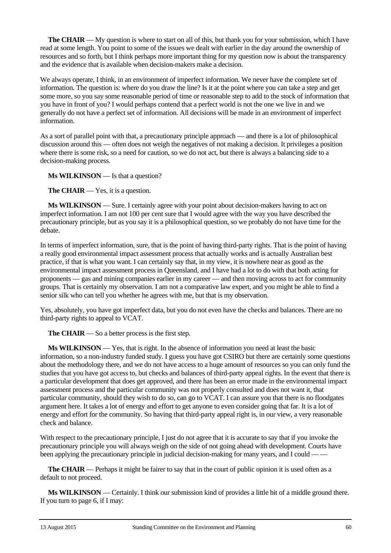**The CHAIR** — My question is where to start on all of this, but thank you for your submission, which I have read at some length. You point to some of the issues we dealt with earlier in the day around the ownership of resources and so forth, but I think perhaps more important thing for my question now is about the transparency and the evidence that is available when decision-makers make a decision.

We always operate, I think, in an environment of imperfect information. We never have the complete set of information. The question is: where do you draw the line? Is it at the point where you can take a step and get some more, so you say some reasonable period of time or reasonable step to add to the stock of information that you have in front of you? I would perhaps contend that a perfect world is not the one we live in and we generally do not have a perfect set of information. All decisions will be made in an environment of imperfect information.

As a sort of parallel point with that, a precautionary principle approach — and there is a lot of philosophical discussion around this — often does not weigh the negatives of not making a decision. It privileges a position where there is some risk, so a need for caution, so we do not act, but there is always a balancing side to a decision-making process.

**Ms WILKINSON** — Is that a question?

**The CHAIR** — Yes, it is a question.

**Ms WILKINSON** — Sure. I certainly agree with your point about decision-makers having to act on imperfect information. I am not 100 per cent sure that I would agree with the way you have described the precautionary principle, but as you say it is a philosophical question, so we probably do not have time for the debate.

In terms of imperfect information, sure, that is the point of having third-party rights. That is the point of having a really good environmental impact assessment process that actually works and is actually Australian best practice, if that is what you want. I can certainly say that, in my view, it is nowhere near as good as the environmental impact assessment process in Queensland, and I have had a lot to do with that both acting for proponents — gas and mining companies earlier in my career — and then moving across to act for community groups. That is certainly my observation. I am not a comparative law expert, and you might be able to find a senior silk who can tell you whether he agrees with me, but that is my observation.

Yes, absolutely, you have got imperfect data, but you do not even have the checks and balances. There are no third-party rights to appeal to VCAT.

**The CHAIR** — So a better process is the first step.

**Ms WILKINSON** — Yes, that is right. In the absence of information you need at least the basic information, so a non-industry funded study. I guess you have got CSIRO but there are certainly some questions about the methodology there, and we do not have access to a huge amount of resources so you can only fund the studies that you have got access to, but checks and balances of third-party appeal rights. In the event that there is a particular development that does get approved, and there has been an error made in the environmental impact assessment process and the particular community was not properly consulted and does not want it, that particular community, should they wish to do so, can go to VCAT. I can assure you that there is no floodgates argument here. It takes a lot of energy and effort to get anyone to even consider going that far. It is a lot of energy and effort for the community. So having that third-party appeal right is, in our view, a very reasonable check and balance.

With respect to the precautionary principle, I just do not agree that it is accurate to say that if you invoke the precautionary principle you will always weigh on the side of not going ahead with development. Courts have been applying the precautionary principle in judicial decision-making for many years, and I could — —

**The CHAIR** — Perhaps it might be fairer to say that in the court of public opinion it is used often as a default to not proceed.

**Ms WILKINSON** — Certainly. I think our submission kind of provides a little bit of a middle ground there. If you turn to page 6, if I may: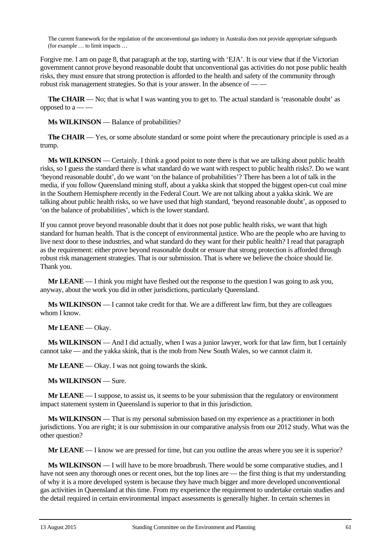The current framework for the regulation of the unconventional gas industry in Australia does not provide appropriate safeguards (for example … to limit impacts …

Forgive me. I am on page 8, that paragraph at the top, starting with 'EJA'. It is our view that if the Victorian government cannot prove beyond reasonable doubt that unconventional gas activities do not pose public health risks, they must ensure that strong protection is afforded to the health and safety of the community through robust risk management strategies. So that is your answer. In the absence of — —

**The CHAIR** — No; that is what I was wanting you to get to. The actual standard is 'reasonable doubt' as opposed to  $a \rightarrow -$ 

**Ms WILKINSON** — Balance of probabilities?

**The CHAIR** — Yes, or some absolute standard or some point where the precautionary principle is used as a trump.

**Ms WILKINSON** — Certainly. I think a good point to note there is that we are talking about public health risks, so I guess the standard there is what standard do we want with respect to public health risks?. Do we want 'beyond reasonable doubt', do we want 'on the balance of probabilities'? There has been a lot of talk in the media, if you follow Queensland mining stuff, about a yakka skink that stopped the biggest open-cut coal mine in the Southern Hemisphere recently in the Federal Court. We are not talking about a yakka skink. We are talking about public health risks, so we have used that high standard, 'beyond reasonable doubt', as opposed to 'on the balance of probabilities', which is the lower standard.

If you cannot prove beyond reasonable doubt that it does not pose public health risks, we want that high standard for human health. That is the concept of environmental justice. Who are the people who are having to live next door to these industries, and what standard do they want for their public health? I read that paragraph as the requirement: either prove beyond reasonable doubt or ensure that strong protection is afforded through robust risk management strategies. That is our submission. That is where we believe the choice should lie. Thank you.

**Mr LEANE** — I think you might have fleshed out the response to the question I was going to ask you, anyway, about the work you did in other jurisdictions, particularly Queensland.

**Ms WILKINSON** — I cannot take credit for that. We are a different law firm, but they are colleagues whom I know.

**Mr LEANE** — Okay.

**Ms WILKINSON** — And I did actually, when I was a junior lawyer, work for that law firm, but I certainly cannot take — and the yakka skink, that is the mob from New South Wales, so we cannot claim it.

**Mr LEANE** — Okay. I was not going towards the skink.

**Ms WILKINSON** — Sure.

**Mr LEANE** — I suppose, to assist us, it seems to be your submission that the regulatory or environment impact statement system in Queensland is superior to that in this jurisdiction.

**Ms WILKINSON** — That is my personal submission based on my experience as a practitioner in both jurisdictions. You are right; it is our submission in our comparative analysis from our 2012 study. What was the other question?

**Mr LEANE** — I know we are pressed for time, but can you outline the areas where you see it is superior?

**Ms WILKINSON** — I will have to be more broadbrush. There would be some comparative studies, and I have not seen any thorough ones or recent ones, but the top lines are — the first thing is that my understanding of why it is a more developed system is because they have much bigger and more developed unconventional gas activities in Queensland at this time. From my experience the requirement to undertake certain studies and the detail required in certain environmental impact assessments is generally higher. In certain schemes in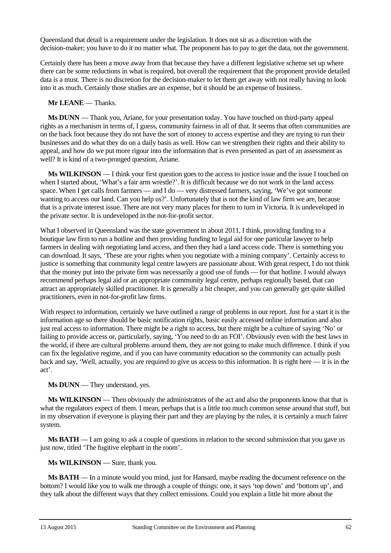Queensland that detail is a requirement under the legislation. It does not sit as a discretion with the decision-maker; you have to do it no matter what. The proponent has to pay to get the data, not the government.

Certainly there has been a move away from that because they have a different legislative scheme set up where there can be some reductions in what is required, but overall the requirement that the proponent provide detailed data is a must. There is no discretion for the decision-maker to let them get away with not really having to look into it as much. Certainly those studies are an expense, but it should be an expense of business.

#### **Mr LEANE** — Thanks.

**Ms DUNN** — Thank you, Ariane, for your presentation today. You have touched on third-party appeal rights as a mechanism in terms of, I guess, community fairness in all of that. It seems that often communities are on the back foot because they do not have the sort of money to access expertise and they are trying to run their businesses and do what they do on a daily basis as well. How can we strengthen their rights and their ability to appeal, and how do we put more rigour into the information that is even presented as part of an assessment as well? It is kind of a two-pronged question, Ariane.

**Ms WILKINSON** — I think your first question goes to the access to justice issue and the issue I touched on when I started about, 'What's a fair arm wrestle?'. It is difficult because we do not work in the land access space. When I get calls from farmers — and I do — very distressed farmers, saying, 'We've got someone wanting to access our land. Can you help us?'. Unfortunately that is not the kind of law firm we are, because that is a private interest issue. There are not very many places for them to turn in Victoria. It is undeveloped in the private sector. It is undeveloped in the not-for-profit sector.

What I observed in Queensland was the state government in about 2011, I think, providing funding to a boutique law firm to run a hotline and then providing funding to legal aid for one particular lawyer to help farmers in dealing with negotiating land access, and then they had a land access code. There is something you can download. It says, 'These are your rights when you negotiate with a mining company'. Certainly access to justice is something that community legal centre lawyers are passionate about. With great respect, I do not think that the money put into the private firm was necessarily a good use of funds — for that hotline. I would always recommend perhaps legal aid or an appropriate community legal centre, perhaps regionally based, that can attract an appropriately skilled practitioner. It is generally a bit cheaper, and you can generally get quite skilled practitioners, even in not-for-profit law firms.

With respect to information, certainly we have outlined a range of problems in our report. Just for a start it is the information age so there should be basic notification rights, basic easily accessed online information and also just real access to information. There might be a right to access, but there might be a culture of saying 'No' or failing to provide access or, particularly, saying, 'You need to do an FOI'. Obviously even with the best laws in the world, if there are cultural problems around them, they are not going to make much difference. I think if you can fix the legislative regime, and if you can have community education so the community can actually push back and say, 'Well, actually, you are required to give us access to this information. It is right here — it is in the act'.

**Ms DUNN** — They understand, yes.

**Ms WILKINSON** — Then obviously the administrators of the act and also the proponents know that that is what the regulators expect of them. I mean, perhaps that is a little too much common sense around that stuff, but in my observation if everyone is playing their part and they are playing by the rules, it is certainly a much fairer system.

**Ms BATH** — I am going to ask a couple of questions in relation to the second submission that you gave us just now, titled 'The fugitive elephant in the room'.

**Ms WILKINSON** — Sure, thank you.

**Ms BATH** — In a minute would you mind, just for Hansard, maybe reading the document reference on the bottom? I would like you to walk me through a couple of things: one, it says 'top down' and 'bottom up', and they talk about the different ways that they collect emissions. Could you explain a little bit more about the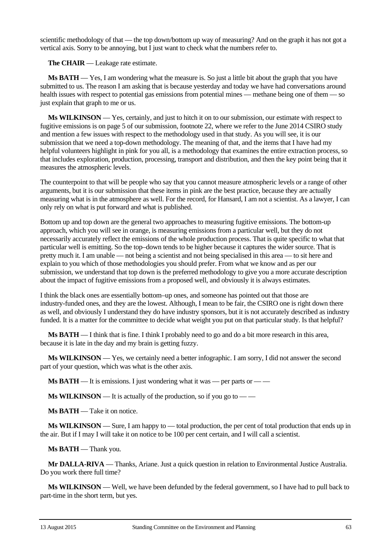scientific methodology of that — the top down/bottom up way of measuring? And on the graph it has not got a vertical axis. Sorry to be annoying, but I just want to check what the numbers refer to.

**The CHAIR** — Leakage rate estimate.

**Ms BATH** — Yes, I am wondering what the measure is. So just a little bit about the graph that you have submitted to us. The reason I am asking that is because yesterday and today we have had conversations around health issues with respect to potential gas emissions from potential mines — methane being one of them — so just explain that graph to me or us.

**Ms WILKINSON** — Yes, certainly, and just to hitch it on to our submission, our estimate with respect to fugitive emissions is on page 5 of our submission, footnote 22, where we refer to the June 2014 CSIRO study and mention a few issues with respect to the methodology used in that study. As you will see, it is our submission that we need a top-down methodology. The meaning of that, and the items that I have had my helpful volunteers highlight in pink for you all, is a methodology that examines the entire extraction process, so that includes exploration, production, processing, transport and distribution, and then the key point being that it measures the atmospheric levels.

The counterpoint to that will be people who say that you cannot measure atmospheric levels or a range of other arguments, but it is our submission that these items in pink are the best practice, because they are actually measuring what is in the atmosphere as well. For the record, for Hansard, I am not a scientist. As a lawyer, I can only rely on what is put forward and what is published.

Bottom up and top down are the general two approaches to measuring fugitive emissions. The bottom-up approach, which you will see in orange, is measuring emissions from a particular well, but they do not necessarily accurately reflect the emissions of the whole production process. That is quite specific to what that particular well is emitting. So the top–down tends to be higher because it captures the wider source. That is pretty much it. I am unable — not being a scientist and not being specialised in this area — to sit here and explain to you which of those methodologies you should prefer. From what we know and as per our submission, we understand that top down is the preferred methodology to give you a more accurate description about the impact of fugitive emissions from a proposed well, and obviously it is always estimates.

I think the black ones are essentially bottom–up ones, and someone has pointed out that those are industry-funded ones, and they are the lowest. Although, I mean to be fair, the CSIRO one is right down there as well, and obviously I understand they do have industry sponsors, but it is not accurately described as industry funded. It is a matter for the committee to decide what weight you put on that particular study. Is that helpful?

**Ms BATH** — I think that is fine. I think I probably need to go and do a bit more research in this area, because it is late in the day and my brain is getting fuzzy.

**Ms WILKINSON** — Yes, we certainly need a better infographic. I am sorry, I did not answer the second part of your question, which was what is the other axis.

**Ms BATH** — It is emissions. I just wondering what it was — per parts or — —

**Ms WILKINSON** — It is actually of the production, so if you go to — —

**Ms BATH** — Take it on notice.

**Ms WILKINSON** — Sure, I am happy to — total production, the per cent of total production that ends up in the air. But if I may I will take it on notice to be 100 per cent certain, and I will call a scientist.

**Ms BATH** — Thank you.

**Mr DALLA-RIVA** — Thanks, Ariane. Just a quick question in relation to Environmental Justice Australia. Do you work there full time?

**Ms WILKINSON** — Well, we have been defunded by the federal government, so I have had to pull back to part-time in the short term, but yes.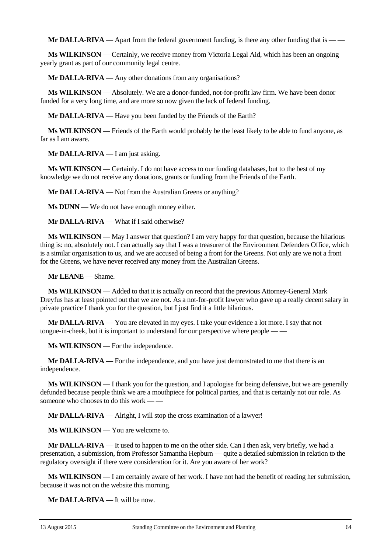**Mr DALLA-RIVA** — Apart from the federal government funding, is there any other funding that is — —

**Ms WILKINSON** — Certainly, we receive money from Victoria Legal Aid, which has been an ongoing yearly grant as part of our community legal centre.

**Mr DALLA-RIVA** — Any other donations from any organisations?

**Ms WILKINSON** — Absolutely. We are a donor-funded, not-for-profit law firm. We have been donor funded for a very long time, and are more so now given the lack of federal funding.

**Mr DALLA-RIVA** — Have you been funded by the Friends of the Earth?

**Ms WILKINSON** — Friends of the Earth would probably be the least likely to be able to fund anyone, as far as I am aware.

**Mr DALLA-RIVA** — I am just asking.

**Ms WILKINSON** — Certainly. I do not have access to our funding databases, but to the best of my knowledge we do not receive any donations, grants or funding from the Friends of the Earth.

**Mr DALLA-RIVA** — Not from the Australian Greens or anything?

**Ms DUNN** — We do not have enough money either.

**Mr DALLA-RIVA** — What if I said otherwise?

**Ms WILKINSON** — May I answer that question? I am very happy for that question, because the hilarious thing is: no, absolutely not. I can actually say that I was a treasurer of the Environment Defenders Office, which is a similar organisation to us, and we are accused of being a front for the Greens. Not only are we not a front for the Greens, we have never received any money from the Australian Greens.

**Mr LEANE** — Shame.

**Ms WILKINSON** — Added to that it is actually on record that the previous Attorney-General Mark Dreyfus has at least pointed out that we are not. As a not-for-profit lawyer who gave up a really decent salary in private practice I thank you for the question, but I just find it a little hilarious.

**Mr DALLA-RIVA** — You are elevated in my eyes. I take your evidence a lot more. I say that not tongue-in-cheek, but it is important to understand for our perspective where people -

**Ms WILKINSON** — For the independence.

**Mr DALLA-RIVA** — For the independence, and you have just demonstrated to me that there is an independence.

**Ms WILKINSON** — I thank you for the question, and I apologise for being defensive, but we are generally defunded because people think we are a mouthpiece for political parties, and that is certainly not our role. As someone who chooses to do this work  $\equiv$   $\equiv$ 

**Mr DALLA-RIVA** — Alright, I will stop the cross examination of a lawyer!

**Ms WILKINSON** — You are welcome to.

**Mr DALLA-RIVA** — It used to happen to me on the other side. Can I then ask, very briefly, we had a presentation, a submission, from Professor Samantha Hepburn — quite a detailed submission in relation to the regulatory oversight if there were consideration for it. Are you aware of her work?

**Ms WILKINSON** — I am certainly aware of her work. I have not had the benefit of reading her submission, because it was not on the website this morning.

**Mr DALLA-RIVA** — It will be now.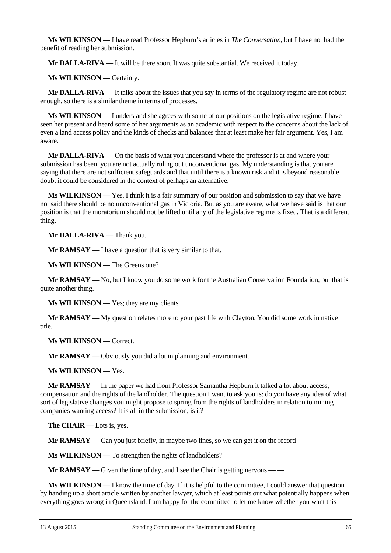**Ms WILKINSON** — I have read Professor Hepburn's articles in *The Conversation*, but I have not had the benefit of reading her submission.

**Mr DALLA-RIVA** — It will be there soon. It was quite substantial. We received it today.

**Ms WILKINSON** — Certainly.

**Mr DALLA-RIVA** — It talks about the issues that you say in terms of the regulatory regime are not robust enough, so there is a similar theme in terms of processes.

**Ms WILKINSON** — I understand she agrees with some of our positions on the legislative regime. I have seen her present and heard some of her arguments as an academic with respect to the concerns about the lack of even a land access policy and the kinds of checks and balances that at least make her fair argument. Yes, I am aware.

**Mr DALLA-RIVA** — On the basis of what you understand where the professor is at and where your submission has been, you are not actually ruling out unconventional gas. My understanding is that you are saying that there are not sufficient safeguards and that until there is a known risk and it is beyond reasonable doubt it could be considered in the context of perhaps an alternative.

**Ms WILKINSON** — Yes. I think it is a fair summary of our position and submission to say that we have not said there should be no unconventional gas in Victoria. But as you are aware, what we have said is that our position is that the moratorium should not be lifted until any of the legislative regime is fixed. That is a different thing.

**Mr DALLA-RIVA** — Thank you.

**Mr RAMSAY** — I have a question that is very similar to that.

**Ms WILKINSON** — The Greens one?

**Mr RAMSAY** — No, but I know you do some work for the Australian Conservation Foundation, but that is quite another thing.

**Ms WILKINSON** — Yes; they are my clients.

**Mr RAMSAY** — My question relates more to your past life with Clayton. You did some work in native title.

**Ms WILKINSON** — Correct.

**Mr RAMSAY** — Obviously you did a lot in planning and environment.

**Ms WILKINSON** — Yes.

**Mr RAMSAY** — In the paper we had from Professor Samantha Hepburn it talked a lot about access, compensation and the rights of the landholder. The question I want to ask you is: do you have any idea of what sort of legislative changes you might propose to spring from the rights of landholders in relation to mining companies wanting access? It is all in the submission, is it?

**The CHAIR** — Lots is, yes.

**Mr RAMSAY** — Can you just briefly, in maybe two lines, so we can get it on the record — —

**Ms WILKINSON** — To strengthen the rights of landholders?

**Mr RAMSAY** — Given the time of day, and I see the Chair is getting nervous — —

**Ms WILKINSON** — I know the time of day. If it is helpful to the committee, I could answer that question by handing up a short article written by another lawyer, which at least points out what potentially happens when everything goes wrong in Queensland. I am happy for the committee to let me know whether you want this